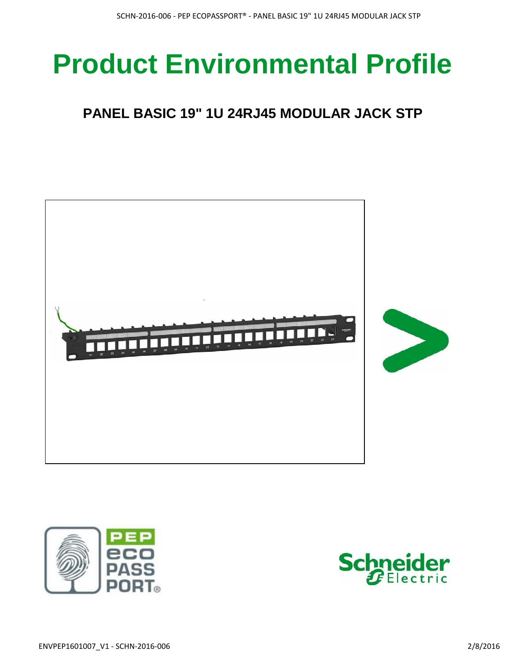# **Product Environmental Profile**

## **PANEL BASIC 19" 1U 24RJ45 MODULAR JACK STP**





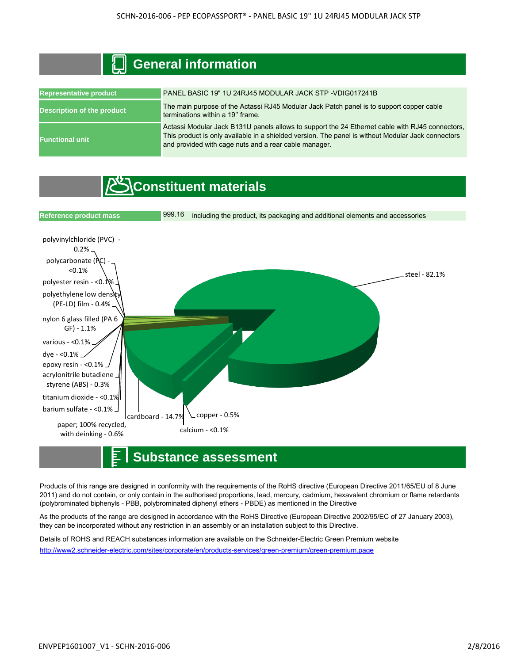| www.minimegal.com                 |                                                                                                                                                                                                                                                                |  |  |  |  |  |
|-----------------------------------|----------------------------------------------------------------------------------------------------------------------------------------------------------------------------------------------------------------------------------------------------------------|--|--|--|--|--|
| <b>Representative product</b>     | PANEL BASIC 19" 1U 24RJ45 MODULAR JACK STP - VDIG017241B                                                                                                                                                                                                       |  |  |  |  |  |
| <b>Description of the product</b> | The main purpose of the Actassi RJ45 Modular Jack Patch panel is to support copper cable<br>terminations within a 19" frame.                                                                                                                                   |  |  |  |  |  |
| <b>Functional unit</b>            | Actassi Modular Jack B131U panels allows to support the 24 Ethernet cable with RJ45 connectors,<br>This product is only available in a shielded version. The panel is without Modular Jack connectors<br>and provided with cage nuts and a rear cable manager. |  |  |  |  |  |

### **Constituent materials**

 **General information**



### **Substance assessment**

Products of this range are designed in conformity with the requirements of the RoHS directive (European Directive 2011/65/EU of 8 June 2011) and do not contain, or only contain in the authorised proportions, lead, mercury, cadmium, hexavalent chromium or flame retardants (polybrominated biphenyls - PBB, polybrominated diphenyl ethers - PBDE) as mentioned in the Directive

As the products of the range are designed in accordance with the RoHS Directive (European Directive 2002/95/EC of 27 January 2003), they can be incorporated without any restriction in an assembly or an installation subject to this Directive.

Details of ROHS and REACH substances information are available on the Schneider-Electric Green Premium website http://www2.schneider-electric.com/sites/corporate/en/products-services/green-premium/green-premium.page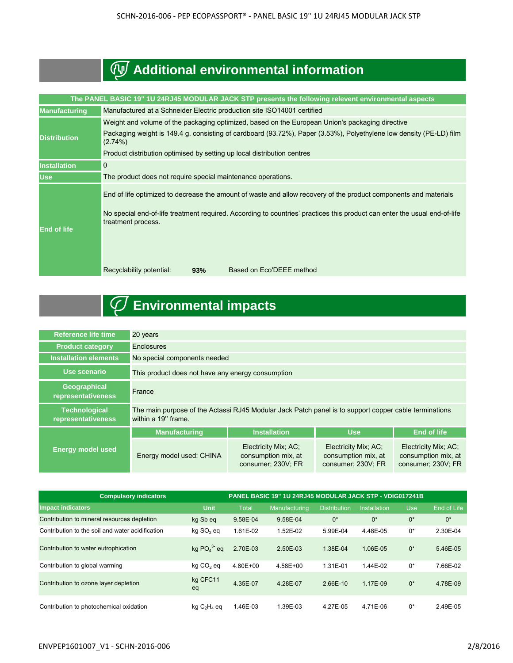# **Additional environmental information**

| The PANEL BASIC 19" 1U 24RJ45 MODULAR JACK STP presents the following relevent environmental aspects |                                                                                                                                                                                                                                                                                                                                    |  |  |  |  |  |
|------------------------------------------------------------------------------------------------------|------------------------------------------------------------------------------------------------------------------------------------------------------------------------------------------------------------------------------------------------------------------------------------------------------------------------------------|--|--|--|--|--|
| <b>Manufacturing</b>                                                                                 | Manufactured at a Schneider Electric production site ISO14001 certified                                                                                                                                                                                                                                                            |  |  |  |  |  |
|                                                                                                      | Weight and volume of the packaging optimized, based on the European Union's packaging directive                                                                                                                                                                                                                                    |  |  |  |  |  |
| <b>Distribution</b>                                                                                  | Packaging weight is 149.4 g, consisting of cardboard (93.72%), Paper (3.53%), Polyethylene low density (PE-LD) film<br>$(2.74\%)$                                                                                                                                                                                                  |  |  |  |  |  |
|                                                                                                      | Product distribution optimised by setting up local distribution centres                                                                                                                                                                                                                                                            |  |  |  |  |  |
| <b>Installation</b>                                                                                  | $\mathbf 0$                                                                                                                                                                                                                                                                                                                        |  |  |  |  |  |
| <b>Use</b>                                                                                           | The product does not require special maintenance operations.                                                                                                                                                                                                                                                                       |  |  |  |  |  |
| <b>End of life</b>                                                                                   | End of life optimized to decrease the amount of waste and allow recovery of the product components and materials<br>No special end-of-life treatment required. According to countries' practices this product can enter the usual end-of-life<br>treatment process.<br>Based on Eco'DEEE method<br>Recyclability potential:<br>93% |  |  |  |  |  |
|                                                                                                      |                                                                                                                                                                                                                                                                                                                                    |  |  |  |  |  |

# **Environmental impacts**

| Reference life time                        | 20 years                                                                                                                     |                                                                   |                                                                   |                                                                   |  |  |
|--------------------------------------------|------------------------------------------------------------------------------------------------------------------------------|-------------------------------------------------------------------|-------------------------------------------------------------------|-------------------------------------------------------------------|--|--|
| <b>Product category</b>                    | <b>Enclosures</b>                                                                                                            |                                                                   |                                                                   |                                                                   |  |  |
| <b>Installation elements</b>               | No special components needed                                                                                                 |                                                                   |                                                                   |                                                                   |  |  |
| Use scenario                               | This product does not have any energy consumption                                                                            |                                                                   |                                                                   |                                                                   |  |  |
| <b>Geographical</b><br>representativeness  | France                                                                                                                       |                                                                   |                                                                   |                                                                   |  |  |
| <b>Technological</b><br>representativeness | The main purpose of the Actassi RJ45 Modular Jack Patch panel is to support copper cable terminations<br>within a 19" frame. |                                                                   |                                                                   |                                                                   |  |  |
|                                            | <b>Manufacturing</b>                                                                                                         | <b>Installation</b>                                               | <b>Use</b>                                                        | <b>End of life</b>                                                |  |  |
| <b>Energy model used</b>                   | Energy model used: CHINA                                                                                                     | Electricity Mix; AC;<br>consumption mix, at<br>consumer; 230V; FR | Electricity Mix; AC;<br>consumption mix, at<br>consumer; 230V; FR | Electricity Mix; AC;<br>consumption mix, at<br>consumer; 230V; FR |  |  |

| <b>Compulsory indicators</b>                     |                         | PANEL BASIC 19" 1U 24RJ45 MODULAR JACK STP - VDIG017241B |               |                     |                     |            |             |
|--------------------------------------------------|-------------------------|----------------------------------------------------------|---------------|---------------------|---------------------|------------|-------------|
| <b>Impact indicators</b>                         | <b>Unit</b>             | <b>Total</b>                                             | Manufacturing | <b>Distribution</b> | <b>Installation</b> | <b>Use</b> | End of Life |
| Contribution to mineral resources depletion      | kg Sb eg                | 9.58E-04                                                 | 9.58E-04      | $0^*$               | $0^*$               | $0^*$      | $0^*$       |
| Contribution to the soil and water acidification | $kq$ SO <sub>2</sub> eq | 1.61E-02                                                 | 1.52E-02      | 5.99E-04            | 4.48E-05            | 0*         | 2.30E-04    |
| Contribution to water eutrophication             | kg $PO43$ eg            | 2.70E-03                                                 | 2.50E-03      | 1.38E-04            | 1.06E-05            | $0^*$      | 5.46E-05    |
| Contribution to global warming                   | kg CO <sub>2</sub> eg   | 4.80E+00                                                 | 4.58E+00      | 1.31E-01            | 1.44E-02            | $0^*$      | 7.66E-02    |
| Contribution to ozone layer depletion            | kg CFC11<br>eq          | 4.35E-07                                                 | 4.28E-07      | 2.66E-10            | 1.17E-09            | $0^*$      | 4.78E-09    |
| Contribution to photochemical oxidation          | $kg C2H4$ eq            | $.46E-03$                                                | 1.39E-03      | 4.27E-05            | 4.71E-06            | $0^*$      | 2.49E-05    |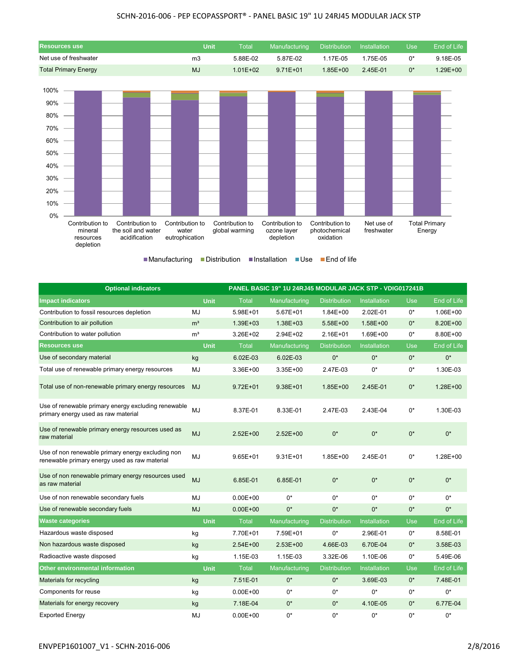### SCHN-2016-006 - PEP ECOPASSPORT® - PANEL BASIC 19" 1U 24RJ45 MODULAR JACK STP



■Manufacturing ■Distribution ■Installation ■Use ■End of life

| <b>Optional indicators</b>                                                                         | PANEL BASIC 19" 1U 24RJ45 MODULAR JACK STP - VDIG017241B |              |               |                     |                     |            |             |
|----------------------------------------------------------------------------------------------------|----------------------------------------------------------|--------------|---------------|---------------------|---------------------|------------|-------------|
| <b>Impact indicators</b>                                                                           | <b>Unit</b>                                              | <b>Total</b> | Manufacturing | <b>Distribution</b> | <b>Installation</b> | <b>Use</b> | End of Life |
| Contribution to fossil resources depletion                                                         | <b>MJ</b>                                                | 5.98E+01     | $5.67E + 01$  | $1.84E + 00$        | 2.02E-01            | 0*         | 1.06E+00    |
| Contribution to air pollution                                                                      | m <sup>3</sup>                                           | $1.39E + 03$ | $1.38E + 03$  | $5.58E+00$          | $1.58E + 00$        | $0^*$      | 8.20E+00    |
| Contribution to water pollution                                                                    | m <sup>3</sup>                                           | 3.26E+02     | 2.94E+02      | $2.16E + 01$        | 1.69E+00            | 0*         | 8.80E+00    |
| <b>Resources use</b>                                                                               | Unit                                                     | <b>Total</b> | Manufacturing | <b>Distribution</b> | <b>Installation</b> | <b>Use</b> | End of Life |
| Use of secondary material                                                                          | kg                                                       | 6.02E-03     | 6.02E-03      | $0^*$               | $0^*$               | $0^*$      | $0^*$       |
| Total use of renewable primary energy resources                                                    | MJ                                                       | 3.36E+00     | $3.35E + 00$  | 2.47E-03            | $0^*$               | $0^*$      | 1.30E-03    |
| Total use of non-renewable primary energy resources                                                | <b>MJ</b>                                                | $9.72E + 01$ | $9.38E + 01$  | $1.85E + 00$        | 2.45E-01            | $0^*$      | 1.28E+00    |
| Use of renewable primary energy excluding renewable<br>primary energy used as raw material         | <b>MJ</b>                                                | 8.37E-01     | 8.33E-01      | 2.47E-03            | 2.43E-04            | $0^*$      | 1.30E-03    |
| Use of renewable primary energy resources used as<br>raw material                                  | <b>MJ</b>                                                | $2.52E + 00$ | $2.52E+00$    | $0^*$               | $0^*$               | $0^*$      | $0^*$       |
| Use of non renewable primary energy excluding non<br>renewable primary energy used as raw material | <b>MJ</b>                                                | $9.65E + 01$ | $9.31E + 01$  | $1.85E + 00$        | 2.45E-01            | 0*         | 1.28E+00    |
| Use of non renewable primary energy resources used<br>as raw material                              | <b>MJ</b>                                                | 6.85E-01     | 6.85E-01      | $0^*$               | $0^*$               | $0^*$      | $0^*$       |
| Use of non renewable secondary fuels                                                               | <b>MJ</b>                                                | $0.00E + 00$ | $0^*$         | $0^*$               | $0^*$               | $0^*$      | $0^*$       |
| Use of renewable secondary fuels                                                                   | <b>MJ</b>                                                | $0.00E + 00$ | $0^*$         | $0^*$               | $0^*$               | $0^*$      | $0^*$       |
| <b>Waste categories</b>                                                                            | <b>Unit</b>                                              | <b>Total</b> | Manufacturing | <b>Distribution</b> | <b>Installation</b> | Use        | End of Life |
| Hazardous waste disposed                                                                           | kg                                                       | 7.70E+01     | 7.59E+01      | $0^*$               | 2.96E-01            | 0*         | 8.58E-01    |
| Non hazardous waste disposed                                                                       | kg                                                       | $2.54E + 00$ | $2.53E+00$    | 4.66E-03            | 6.70E-04            | 0*         | 3.58E-03    |
| Radioactive waste disposed                                                                         | kg                                                       | 1.15E-03     | 1.15E-03      | 3.32E-06            | 1.10E-06            | $0^*$      | 5.49E-06    |
| <b>Other environmental information</b>                                                             | <b>Unit</b>                                              | <b>Total</b> | Manufacturing | <b>Distribution</b> | Installation        | <b>Use</b> | End of Life |
| Materials for recycling                                                                            | kg                                                       | 7.51E-01     | $0^*$         | $0^*$               | 3.69E-03            | $0^*$      | 7.48E-01    |
| Components for reuse                                                                               | kg                                                       | $0.00E + 00$ | $0^*$         | $0^*$               | $0^*$               | 0*         | $0^*$       |
| Materials for energy recovery                                                                      | kg                                                       | 7.18E-04     | $0^*$         | $0^*$               | 4.10E-05            | 0*         | 6.77E-04    |
| Exported Energy                                                                                    | MJ                                                       | $0.00E + 00$ | $0^*$         | $0^*$               | $0*$                | $0^*$      | $0^*$       |